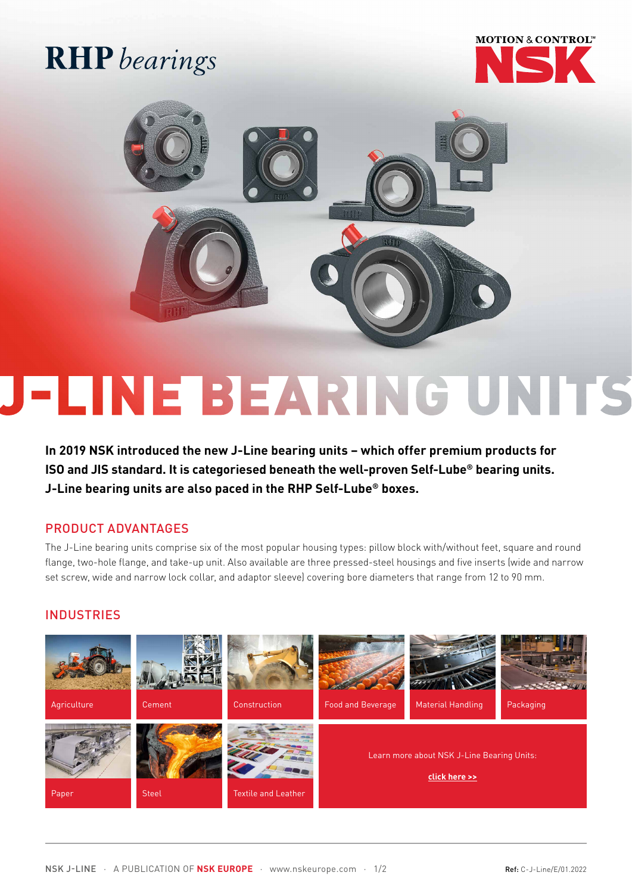## **RHP** bearings





# **FLINE BEARING UNITS**

**In 2019 NSK introduced the new J-Line bearing units – which offer premium products for ISO and JIS standard. It is categoriesed beneath the well-proven Self-Lube® bearing units. J-Line bearing units are also paced in the RHP Self-Lube® boxes.**

#### PRODUCT ADVANTAGES

The J-Line bearing units comprise six of the most popular housing types: pillow block with/without feet, square and round flange, two-hole flange, and take-up unit. Also available are three pressed-steel housings and five inserts (wide and narrow set screw, wide and narrow lock collar, and adaptor sleeve) covering bore diameters that range from 12 to 90 mm.

#### **INDUSTRIES**